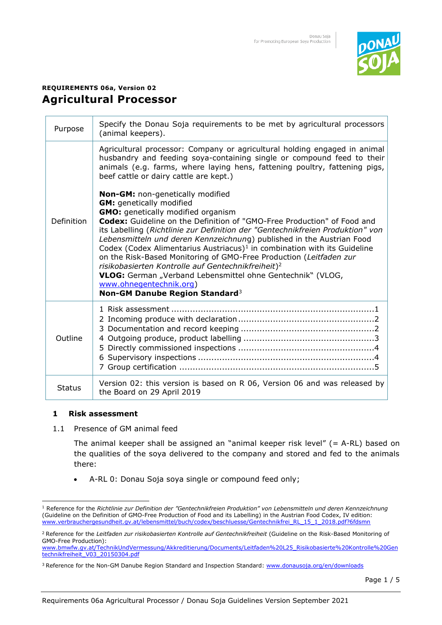

# **REQUIREMENTS 06a, Version 02 Agricultural Processor**

| Purpose       | Specify the Donau Soja requirements to be met by agricultural processors<br>(animal keepers).                                                                                                                                                                                                                                                                                                                                                                                                                                                                                                                                                                                                                                 |
|---------------|-------------------------------------------------------------------------------------------------------------------------------------------------------------------------------------------------------------------------------------------------------------------------------------------------------------------------------------------------------------------------------------------------------------------------------------------------------------------------------------------------------------------------------------------------------------------------------------------------------------------------------------------------------------------------------------------------------------------------------|
| Definition    | Agricultural processor: Company or agricultural holding engaged in animal<br>husbandry and feeding soya-containing single or compound feed to their<br>animals (e.g. farms, where laying hens, fattening poultry, fattening pigs,<br>beef cattle or dairy cattle are kept.)                                                                                                                                                                                                                                                                                                                                                                                                                                                   |
|               | Non-GM: non-genetically modified<br><b>GM:</b> genetically modified<br><b>GMO:</b> genetically modified organism<br>Codex: Guideline on the Definition of "GMO-Free Production" of Food and<br>its Labelling (Richtlinie zur Definition der "Gentechnikfreien Produktion" von<br>Lebensmitteln und deren Kennzeichnung) published in the Austrian Food<br>Codex (Codex Alimentarius Austriacus) <sup>1</sup> in combination with its Guideline<br>on the Risk-Based Monitoring of GMO-Free Production (Leitfaden zur<br>risikobasierten Kontrolle auf Gentechnikfreiheit) <sup>2</sup><br>VLOG: German "Verband Lebensmittel ohne Gentechnik" (VLOG,<br>www.ohnegentechnik.org)<br>Non-GM Danube Region Standard <sup>3</sup> |
| Outline       |                                                                                                                                                                                                                                                                                                                                                                                                                                                                                                                                                                                                                                                                                                                               |
| <b>Status</b> | Version 02: this version is based on R 06, Version 06 and was released by<br>the Board on 29 April 2019                                                                                                                                                                                                                                                                                                                                                                                                                                                                                                                                                                                                                       |

## **1 Risk assessment**

1.1 Presence of GM animal feed

The animal keeper shall be assigned an "animal keeper risk level" (= A-RL) based on the qualities of the soya delivered to the company and stored and fed to the animals there:

• A-RL 0: Donau Soja soya single or compound feed only;

Page 1 / 5

<sup>1</sup> Reference for the *Richtlinie zur Definition der "Gentechnikfreien Produktion" von Lebensmitteln und deren Kennzeichnung*  (Guideline on the Definition of GMO-Free Production of Food and its Labelling) in the Austrian Food Codex, IV edition: [www.verbrauchergesundheit.gv.at/lebensmittel/buch/codex/beschluesse/Gentechnikfrei\\_RL\\_15\\_1\\_2018.pdf?6fdsmn](https://www.verbrauchergesundheit.gv.at/lebensmittel/buch/codex/beschluesse/Gentechnikfrei_RL_15_1_2018.pdf?6fdsmn)

<sup>&</sup>lt;sup>2</sup> Reference for the *Leitfaden zur risikobasierten Kontrolle auf Gentechnikfreiheit* (Guideline on the Risk-Based Monitoring of GMO-Free Production):

[www.bmwfw.gv.at/TechnikUndVermessung/Akkreditierung/Documents/Leitfaden%20L25\\_Risikobasierte%20Kontrolle%20Gen](http://www.bmwfw.gv.at/TechnikUndVermessung/Akkreditierung/Documents/Leitfaden%20L25_Risikobasierte%20Kontrolle%20Gentechnikfreiheit_V03_20150304.pdf) [technikfreiheit\\_V03\\_20150304.pdf](http://www.bmwfw.gv.at/TechnikUndVermessung/Akkreditierung/Documents/Leitfaden%20L25_Risikobasierte%20Kontrolle%20Gentechnikfreiheit_V03_20150304.pdf)

<sup>&</sup>lt;sup>3</sup> Reference for the Non-GM Danube Region Standard and Inspection Standard[: www.donausoja.org/en/downloads](http://www.donausoja.org/en/downloads)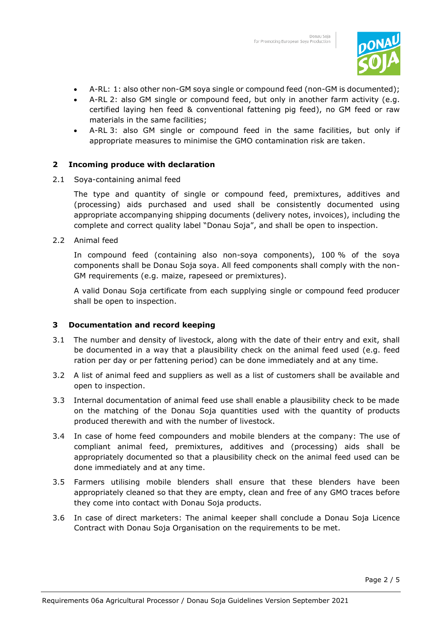

- A-RL: 1: also other non-GM soya single or compound feed (non-GM is documented);
- A-RL 2: also GM single or compound feed, but only in another farm activity (e.g. certified laying hen feed & conventional fattening pig feed), no GM feed or raw materials in the same facilities;
- A-RL 3: also GM single or compound feed in the same facilities, but only if appropriate measures to minimise the GMO contamination risk are taken.

## **2 Incoming produce with declaration**

2.1 Soya-containing animal feed

The type and quantity of single or compound feed, premixtures, additives and (processing) aids purchased and used shall be consistently documented using appropriate accompanying shipping documents (delivery notes, invoices), including the complete and correct quality label "Donau Soja", and shall be open to inspection.

2.2 Animal feed

In compound feed (containing also non-soya components), 100 % of the soya components shall be Donau Soja soya. All feed components shall comply with the non-GM requirements (e.g. maize, rapeseed or premixtures).

A valid Donau Soja certificate from each supplying single or compound feed producer shall be open to inspection.

## **3 Documentation and record keeping**

- 3.1 The number and density of livestock, along with the date of their entry and exit, shall be documented in a way that a plausibility check on the animal feed used (e.g. feed ration per day or per fattening period) can be done immediately and at any time.
- 3.2 A list of animal feed and suppliers as well as a list of customers shall be available and open to inspection.
- 3.3 Internal documentation of animal feed use shall enable a plausibility check to be made on the matching of the Donau Soja quantities used with the quantity of products produced therewith and with the number of livestock.
- 3.4 In case of home feed compounders and mobile blenders at the company: The use of compliant animal feed, premixtures, additives and (processing) aids shall be appropriately documented so that a plausibility check on the animal feed used can be done immediately and at any time.
- 3.5 Farmers utilising mobile blenders shall ensure that these blenders have been appropriately cleaned so that they are empty, clean and free of any GMO traces before they come into contact with Donau Soja products.
- 3.6 In case of direct marketers: The animal keeper shall conclude a Donau Soja Licence Contract with Donau Soja Organisation on the requirements to be met.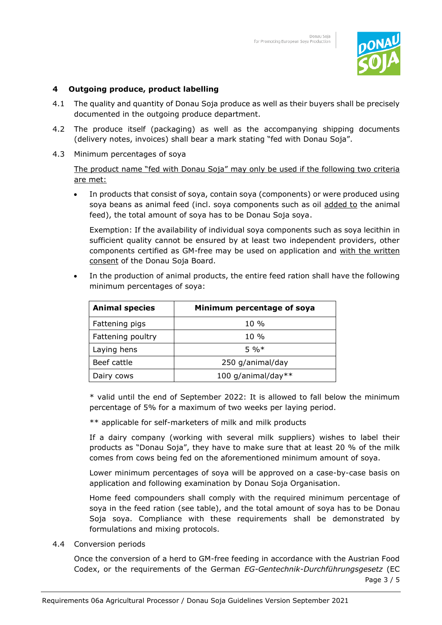

## **4 Outgoing produce, product labelling**

- 4.1 The quality and quantity of Donau Soja produce as well as their buyers shall be precisely documented in the outgoing produce department.
- 4.2 The produce itself (packaging) as well as the accompanying shipping documents (delivery notes, invoices) shall bear a mark stating "fed with Donau Soja".
- 4.3 Minimum percentages of soya

The product name "fed with Donau Soja" may only be used if the following two criteria are met:

• In products that consist of soya, contain soya (components) or were produced using soya beans as animal feed (incl. soya components such as oil added to the animal feed), the total amount of soya has to be Donau Soja soya.

Exemption: If the availability of individual soya components such as soya lecithin in sufficient quality cannot be ensured by at least two independent providers, other components certified as GM-free may be used on application and with the written consent of the Donau Soja Board.

In the production of animal products, the entire feed ration shall have the following minimum percentages of soya:

| <b>Animal species</b> | Minimum percentage of soya |
|-----------------------|----------------------------|
| Fattening pigs        | $10\%$                     |
| Fattening poultry     | $10\%$                     |
| Laying hens           | $5\%*$                     |
| Beef cattle           | 250 g/animal/day           |
| Dairy cows            | 100 g/animal/day**         |

\* valid until the end of September 2022: It is allowed to fall below the minimum percentage of 5% for a maximum of two weeks per laying period.

\*\* applicable for self-marketers of milk and milk products

If a dairy company (working with several milk suppliers) wishes to label their products as "Donau Soja", they have to make sure that at least 20 % of the milk comes from cows being fed on the aforementioned minimum amount of soya.

Lower minimum percentages of soya will be approved on a case-by-case basis on application and following examination by Donau Soja Organisation.

Home feed compounders shall comply with the required minimum percentage of soya in the feed ration (see table), and the total amount of soya has to be Donau Soja soya. Compliance with these requirements shall be demonstrated by formulations and mixing protocols.

4.4 Conversion periods

Once the conversion of a herd to GM-free feeding in accordance with the Austrian Food Codex, or the requirements of the German *EG-Gentechnik-Durchführungsgesetz* (EC

Page 3 / 5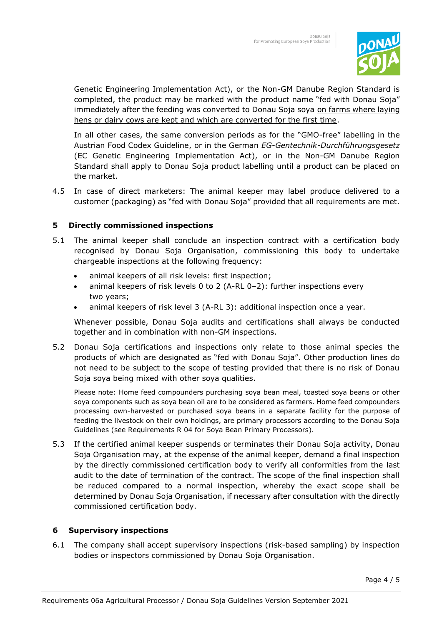

Genetic Engineering Implementation Act), or the Non-GM Danube Region Standard is completed, the product may be marked with the product name "fed with Donau Soja" immediately after the feeding was converted to Donau Soja soya on farms where laying hens or dairy cows are kept and which are converted for the first time.

In all other cases, the same conversion periods as for the "GMO-free" labelling in the Austrian Food Codex Guideline, or in the German *EG-Gentechnik-Durchführungsgesetz* (EC Genetic Engineering Implementation Act), or in the Non-GM Danube Region Standard shall apply to Donau Soja product labelling until a product can be placed on the market.

4.5 In case of direct marketers: The animal keeper may label produce delivered to a customer (packaging) as "fed with Donau Soja" provided that all requirements are met.

## **5 Directly commissioned inspections**

- 5.1 The animal keeper shall conclude an inspection contract with a certification body recognised by Donau Soja Organisation, commissioning this body to undertake chargeable inspections at the following frequency:
	- animal keepers of all risk levels: first inspection;
	- animal keepers of risk levels 0 to 2 (A-RL 0–2): further inspections every two years;
	- animal keepers of risk level 3 (A-RL 3): additional inspection once a year.

Whenever possible, Donau Soja audits and certifications shall always be conducted together and in combination with non-GM inspections.

5.2 Donau Soja certifications and inspections only relate to those animal species the products of which are designated as "fed with Donau Soja". Other production lines do not need to be subject to the scope of testing provided that there is no risk of Donau Soja soya being mixed with other soya qualities.

 Please note: Home feed compounders purchasing soya bean meal, toasted soya beans or other soya components such as soya bean oil are to be considered as farmers. Home feed compounders processing own-harvested or purchased soya beans in a separate facility for the purpose of feeding the livestock on their own holdings, are primary processors according to the Donau Soja Guidelines (see Requirements R 04 for Soya Bean Primary Processors).

5.3 If the certified animal keeper suspends or terminates their Donau Soja activity, Donau Soja Organisation may, at the expense of the animal keeper, demand a final inspection by the directly commissioned certification body to verify all conformities from the last audit to the date of termination of the contract. The scope of the final inspection shall be reduced compared to a normal inspection, whereby the exact scope shall be determined by Donau Soja Organisation, if necessary after consultation with the directly commissioned certification body.

## **6 Supervisory inspections**

6.1 The company shall accept supervisory inspections (risk-based sampling) by inspection bodies or inspectors commissioned by Donau Soja Organisation.